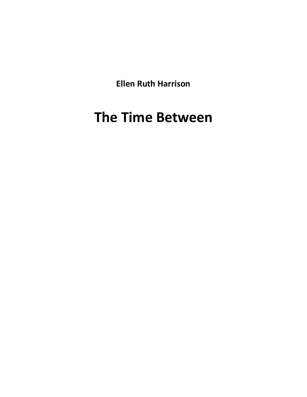**Ellen Ruth Harrison**

# **The Time Between**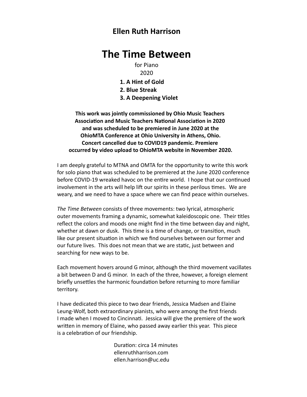#### **Ellen Ruth Harrison**

### **The Time Between**

for Piano 2020

**1. A Hint of Gold**

**2. Blue Streak**

**3. A Deepening Violet**

**This work was jointly commissioned by Ohio Music Teachers Association and Music Teachers National Association in 2020 and was scheduled to be premiered in June 2020 at the OhioMTA Conference at Ohio University in Athens, Ohio. Concert cancelled due to COVID19 pandemic. Premiere occurred by video upload to OhioMTA website in November 2020.**

I am deeply grateful to MTNA and OMTA for the opportunity to write this work for solo piano that was scheduled to be premiered at the June 2020 conference before COVID-19 wreaked havoc on the entire world. I hope that our continued involvement in the arts will help lift our spirits in these perilous times. We are weary, and we need to have a space where we can find peace within ourselves.

*The Time Between* consists of three movements: two lyrical, atmospheric outer movements framing a dynamic, somewhat kaleidoscopic one. Their titles reflect the colors and moods one might find in the time between day and night, whether at dawn or dusk. This time is a time of change, or transition, much like our present situation in which we find ourselves between our former and our future lives. This does not mean that we are static, just between and searching for new ways to be.

Each movement hovers around G minor, although the third movement vacillates a bit between D and G minor. In each of the three, however, a foreign element briefly unsettles the harmonic foundation before returning to more familiar territory.

I have dedicated this piece to two dear friends, Jessica Madsen and Elaine Leung-Wolf, both extraordinary pianists, who were among the first friends I made when I moved to Cincinnati. Jessica will give the premiere of the work written in memory of Elaine, who passed away earlier this year. This piece is a celebration of our friendship.

> Duration: circa 14 minutes ellenruthharrison.com ellen.harrison@uc.edu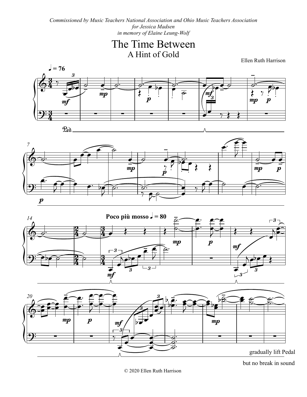*Commissioned by Music Teachers National Association and Ohio Music Teachers Association for Jessica Madsen in memory of Elaine Leung-Wolf*

#### A Hint of Gold The Time Between

Ellen Ruth Harrison









but no break in sound

© 2020 Ellen Ruth Harrison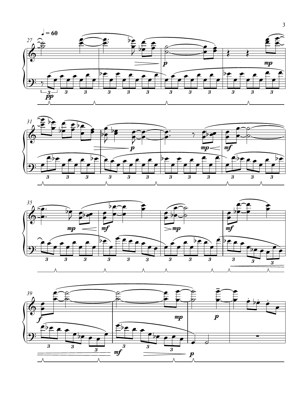





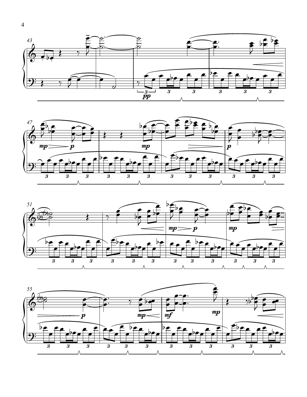





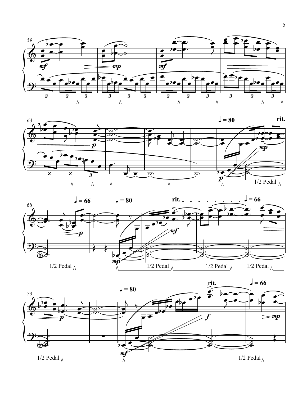





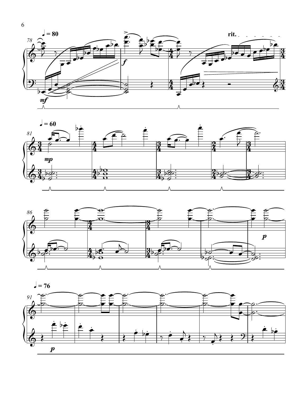





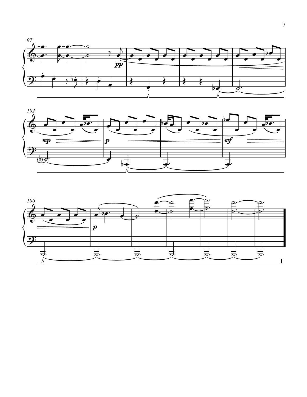



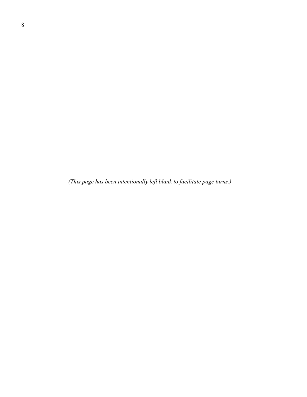*(This page has been intentionally left blank to facilitate page turns.)*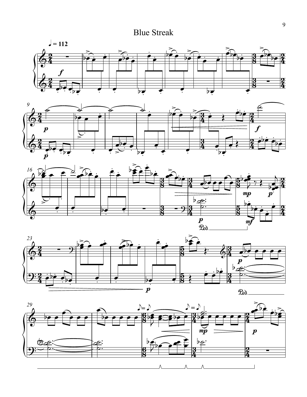**Blue Streak** 











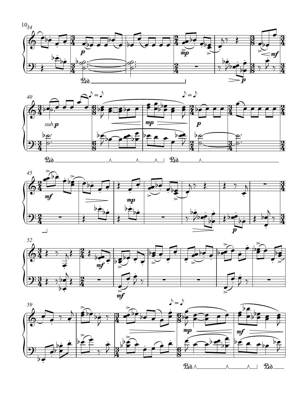







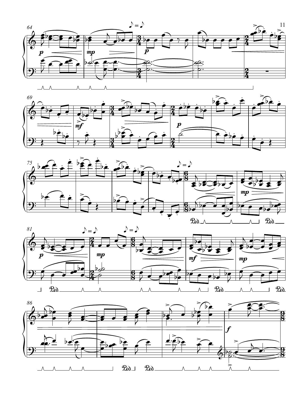







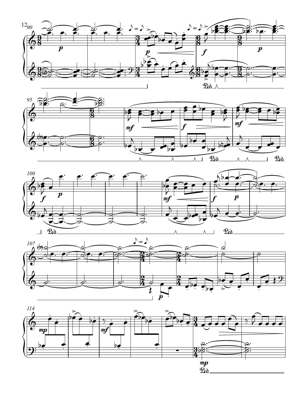







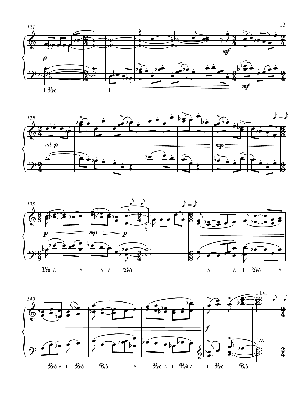





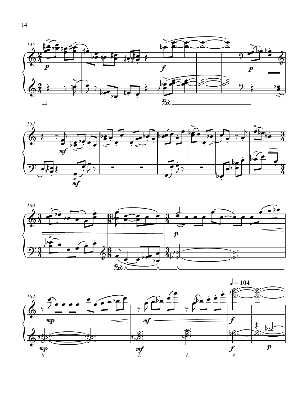





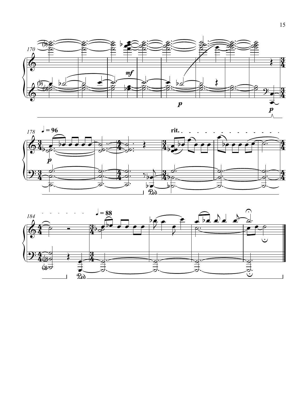



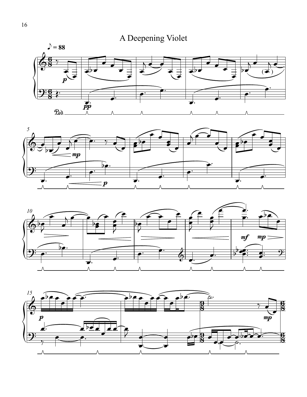## A Deepening Violet







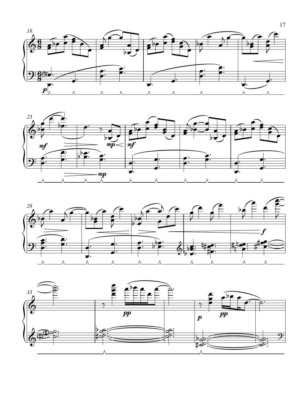